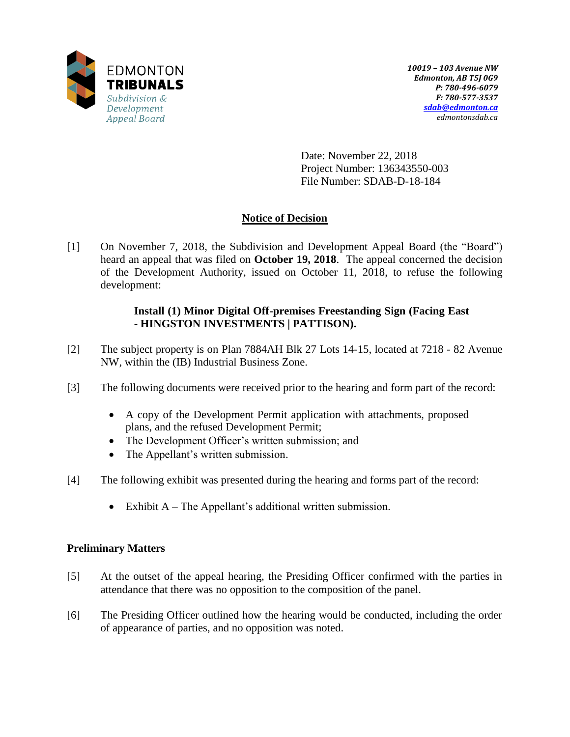

Date: November 22, 2018 Project Number: 136343550-003 File Number: SDAB-D-18-184

# **Notice of Decision**

[1] On November 7, 2018, the Subdivision and Development Appeal Board (the "Board") heard an appeal that was filed on **October 19, 2018**. The appeal concerned the decision of the Development Authority, issued on October 11, 2018, to refuse the following development:

# **Install (1) Minor Digital Off-premises Freestanding Sign (Facing East - HINGSTON INVESTMENTS | PATTISON).**

- [2] The subject property is on Plan 7884AH Blk 27 Lots 14-15, located at 7218 82 Avenue NW, within the (IB) Industrial Business Zone.
- [3] The following documents were received prior to the hearing and form part of the record:
	- A copy of the Development Permit application with attachments, proposed plans, and the refused Development Permit;
	- The Development Officer's written submission; and
	- The Appellant's written submission.
- [4] The following exhibit was presented during the hearing and forms part of the record:
	- Exhibit  $A$  The Appellant's additional written submission.

# **Preliminary Matters**

- [5] At the outset of the appeal hearing, the Presiding Officer confirmed with the parties in attendance that there was no opposition to the composition of the panel.
- [6] The Presiding Officer outlined how the hearing would be conducted, including the order of appearance of parties, and no opposition was noted.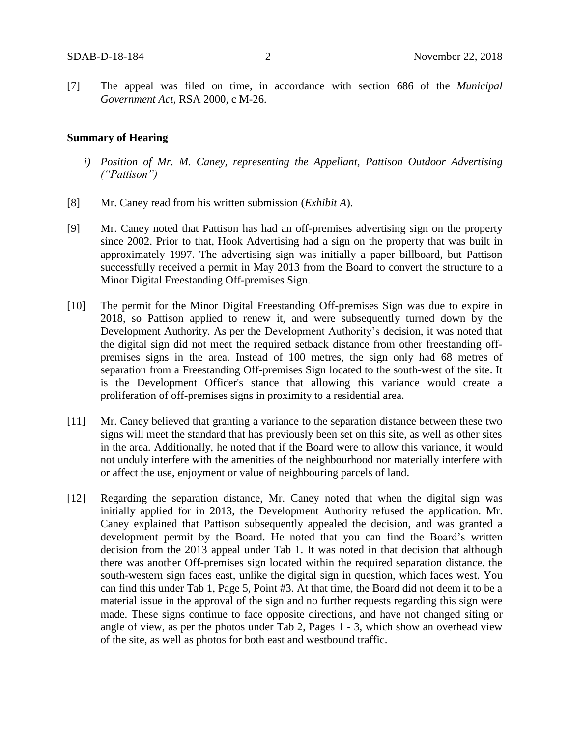[7] The appeal was filed on time, in accordance with section 686 of the *Municipal Government Act*, RSA 2000, c M-26.

### **Summary of Hearing**

- *i) Position of Mr. M. Caney, representing the Appellant, Pattison Outdoor Advertising ("Pattison")*
- [8] Mr. Caney read from his written submission (*Exhibit A*).
- [9] Mr. Caney noted that Pattison has had an off-premises advertising sign on the property since 2002. Prior to that, Hook Advertising had a sign on the property that was built in approximately 1997. The advertising sign was initially a paper billboard, but Pattison successfully received a permit in May 2013 from the Board to convert the structure to a Minor Digital Freestanding Off-premises Sign.
- [10] The permit for the Minor Digital Freestanding Off-premises Sign was due to expire in 2018, so Pattison applied to renew it, and were subsequently turned down by the Development Authority. As per the Development Authority's decision, it was noted that the digital sign did not meet the required setback distance from other freestanding offpremises signs in the area. Instead of 100 metres, the sign only had 68 metres of separation from a Freestanding Off-premises Sign located to the south-west of the site. It is the Development Officer's stance that allowing this variance would create a proliferation of off-premises signs in proximity to a residential area.
- [11] Mr. Caney believed that granting a variance to the separation distance between these two signs will meet the standard that has previously been set on this site, as well as other sites in the area. Additionally, he noted that if the Board were to allow this variance, it would not unduly interfere with the amenities of the neighbourhood nor materially interfere with or affect the use, enjoyment or value of neighbouring parcels of land.
- [12] Regarding the separation distance, Mr. Caney noted that when the digital sign was initially applied for in 2013, the Development Authority refused the application. Mr. Caney explained that Pattison subsequently appealed the decision, and was granted a development permit by the Board. He noted that you can find the Board's written decision from the 2013 appeal under Tab 1. It was noted in that decision that although there was another Off-premises sign located within the required separation distance, the south-western sign faces east, unlike the digital sign in question, which faces west. You can find this under Tab 1, Page 5, Point #3. At that time, the Board did not deem it to be a material issue in the approval of the sign and no further requests regarding this sign were made. These signs continue to face opposite directions, and have not changed siting or angle of view, as per the photos under Tab 2, Pages 1 - 3, which show an overhead view of the site, as well as photos for both east and westbound traffic.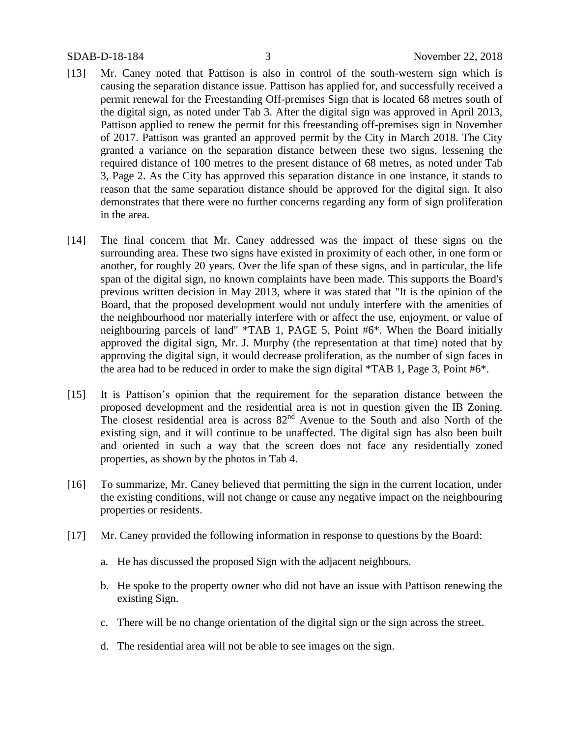- [13] Mr. Caney noted that Pattison is also in control of the south-western sign which is causing the separation distance issue. Pattison has applied for, and successfully received a permit renewal for the Freestanding Off-premises Sign that is located 68 metres south of the digital sign, as noted under Tab 3. After the digital sign was approved in April 2013, Pattison applied to renew the permit for this freestanding off-premises sign in November of 2017. Pattison was granted an approved permit by the City in March 2018. The City granted a variance on the separation distance between these two signs, lessening the required distance of 100 metres to the present distance of 68 metres, as noted under Tab 3, Page 2. As the City has approved this separation distance in one instance, it stands to reason that the same separation distance should be approved for the digital sign. It also demonstrates that there were no further concerns regarding any form of sign proliferation in the area.
- [14] The final concern that Mr. Caney addressed was the impact of these signs on the surrounding area. These two signs have existed in proximity of each other, in one form or another, for roughly 20 years. Over the life span of these signs, and in particular, the life span of the digital sign, no known complaints have been made. This supports the Board's previous written decision in May 2013, where it was stated that "It is the opinion of the Board, that the proposed development would not unduly interfere with the amenities of the neighbourhood nor materially interfere with or affect the use, enjoyment, or value of neighbouring parcels of land" \*TAB 1, PAGE 5, Point #6\*. When the Board initially approved the digital sign, Mr. J. Murphy (the representation at that time) noted that by approving the digital sign, it would decrease proliferation, as the number of sign faces in the area had to be reduced in order to make the sign digital \*TAB 1, Page 3, Point #6\*.
- [15] It is Pattison's opinion that the requirement for the separation distance between the proposed development and the residential area is not in question given the IB Zoning. The closest residential area is across  $82<sup>nd</sup>$  Avenue to the South and also North of the existing sign, and it will continue to be unaffected. The digital sign has also been built and oriented in such a way that the screen does not face any residentially zoned properties, as shown by the photos in Tab 4.
- [16] To summarize, Mr. Caney believed that permitting the sign in the current location, under the existing conditions, will not change or cause any negative impact on the neighbouring properties or residents.
- [17] Mr. Caney provided the following information in response to questions by the Board:
	- a. He has discussed the proposed Sign with the adjacent neighbours.
	- b. He spoke to the property owner who did not have an issue with Pattison renewing the existing Sign.
	- c. There will be no change orientation of the digital sign or the sign across the street.
	- d. The residential area will not be able to see images on the sign.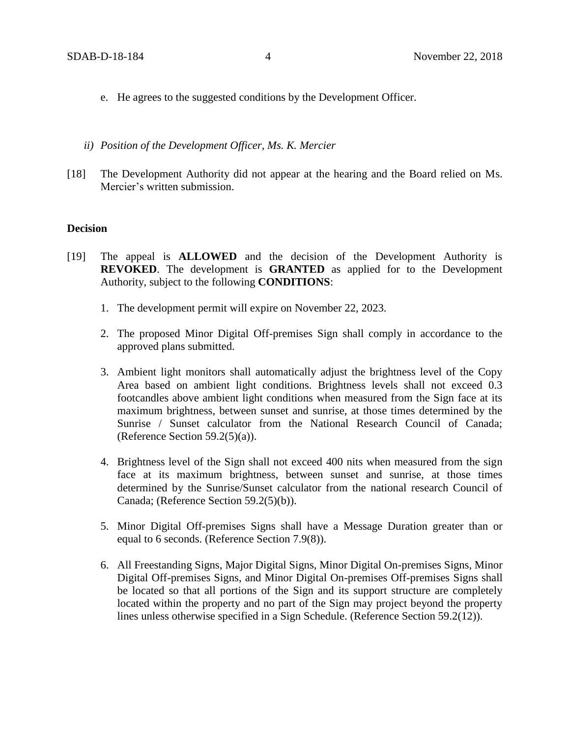- e. He agrees to the suggested conditions by the Development Officer.
- *ii) Position of the Development Officer, Ms. K. Mercier*
- [18] The Development Authority did not appear at the hearing and the Board relied on Ms. Mercier's written submission.

## **Decision**

- [19] The appeal is **ALLOWED** and the decision of the Development Authority is **REVOKED**. The development is **GRANTED** as applied for to the Development Authority, subject to the following **CONDITIONS**:
	- 1. The development permit will expire on November 22, 2023.
	- 2. The proposed Minor Digital Off-premises Sign shall comply in accordance to the approved plans submitted.
	- 3. Ambient light monitors shall automatically adjust the brightness level of the Copy Area based on ambient light conditions. Brightness levels shall not exceed 0.3 footcandles above ambient light conditions when measured from the Sign face at its maximum brightness, between sunset and sunrise, at those times determined by the Sunrise / Sunset calculator from the National Research Council of Canada; (Reference Section  $59.2(5)(a)$ ).
	- 4. Brightness level of the Sign shall not exceed 400 nits when measured from the sign face at its maximum brightness, between sunset and sunrise, at those times determined by the Sunrise/Sunset calculator from the national research Council of Canada; (Reference Section 59.2(5)(b)).
	- 5. Minor Digital Off-premises Signs shall have a Message Duration greater than or equal to 6 seconds. (Reference Section 7.9(8)).
	- 6. All Freestanding Signs, Major Digital Signs, Minor Digital On-premises Signs, Minor Digital Off-premises Signs, and Minor Digital On-premises Off-premises Signs shall be located so that all portions of the Sign and its support structure are completely located within the property and no part of the Sign may project beyond the property lines unless otherwise specified in a Sign Schedule. (Reference Section 59.2(12)).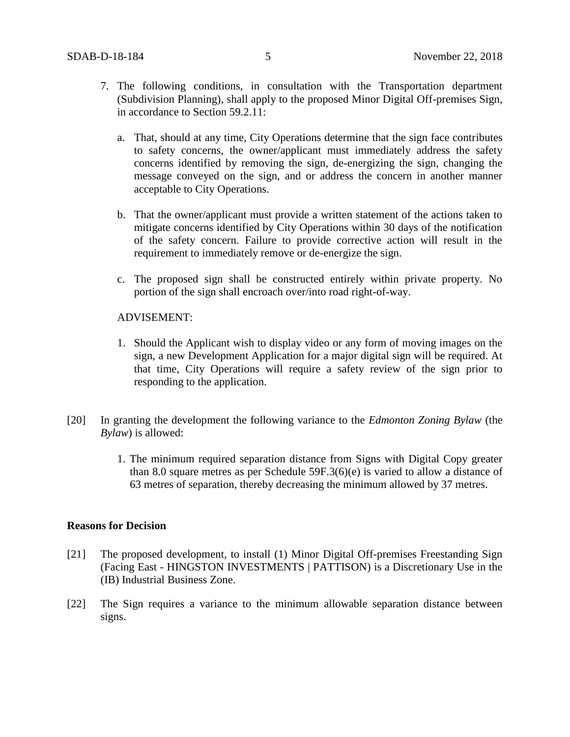- 7. The following conditions, in consultation with the Transportation department (Subdivision Planning), shall apply to the proposed Minor Digital Off-premises Sign, in accordance to Section 59.2.11:
	- a. That, should at any time, City Operations determine that the sign face contributes to safety concerns, the owner/applicant must immediately address the safety concerns identified by removing the sign, de-energizing the sign, changing the message conveyed on the sign, and or address the concern in another manner acceptable to City Operations.
	- b. That the owner/applicant must provide a written statement of the actions taken to mitigate concerns identified by City Operations within 30 days of the notification of the safety concern. Failure to provide corrective action will result in the requirement to immediately remove or de-energize the sign.
	- c. The proposed sign shall be constructed entirely within private property. No portion of the sign shall encroach over/into road right-of-way.

## ADVISEMENT:

- 1. Should the Applicant wish to display video or any form of moving images on the sign, a new Development Application for a major digital sign will be required. At that time, City Operations will require a safety review of the sign prior to responding to the application.
- [20] In granting the development the following variance to the *Edmonton Zoning Bylaw* (the *Bylaw*) is allowed:
	- 1. The minimum required separation distance from Signs with Digital Copy greater than 8.0 square metres as per Schedule 59F.3(6)(e) is varied to allow a distance of 63 metres of separation, thereby decreasing the minimum allowed by 37 metres.

## **Reasons for Decision**

- [21] The proposed development, to install (1) Minor Digital Off-premises Freestanding Sign (Facing East - HINGSTON INVESTMENTS | PATTISON) is a Discretionary Use in the (IB) Industrial Business Zone.
- [22] The Sign requires a variance to the minimum allowable separation distance between signs.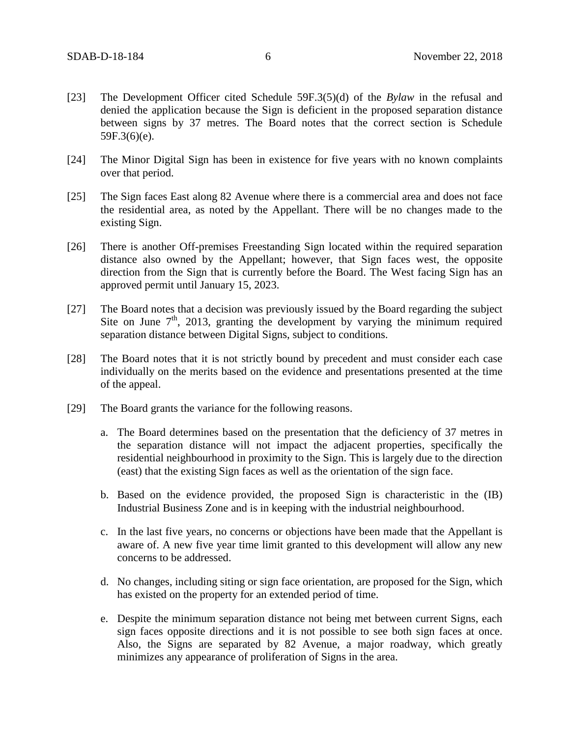- [23] The Development Officer cited Schedule 59F.3(5)(d) of the *Bylaw* in the refusal and denied the application because the Sign is deficient in the proposed separation distance between signs by 37 metres. The Board notes that the correct section is Schedule 59F.3(6)(e).
- [24] The Minor Digital Sign has been in existence for five years with no known complaints over that period.
- [25] The Sign faces East along 82 Avenue where there is a commercial area and does not face the residential area, as noted by the Appellant. There will be no changes made to the existing Sign.
- [26] There is another Off-premises Freestanding Sign located within the required separation distance also owned by the Appellant; however, that Sign faces west, the opposite direction from the Sign that is currently before the Board. The West facing Sign has an approved permit until January 15, 2023.
- [27] The Board notes that a decision was previously issued by the Board regarding the subject Site on June  $7<sup>th</sup>$ , 2013, granting the development by varying the minimum required separation distance between Digital Signs, subject to conditions.
- [28] The Board notes that it is not strictly bound by precedent and must consider each case individually on the merits based on the evidence and presentations presented at the time of the appeal.
- [29] The Board grants the variance for the following reasons.
	- a. The Board determines based on the presentation that the deficiency of 37 metres in the separation distance will not impact the adjacent properties, specifically the residential neighbourhood in proximity to the Sign. This is largely due to the direction (east) that the existing Sign faces as well as the orientation of the sign face.
	- b. Based on the evidence provided, the proposed Sign is characteristic in the (IB) Industrial Business Zone and is in keeping with the industrial neighbourhood.
	- c. In the last five years, no concerns or objections have been made that the Appellant is aware of. A new five year time limit granted to this development will allow any new concerns to be addressed.
	- d. No changes, including siting or sign face orientation, are proposed for the Sign, which has existed on the property for an extended period of time.
	- e. Despite the minimum separation distance not being met between current Signs, each sign faces opposite directions and it is not possible to see both sign faces at once. Also, the Signs are separated by 82 Avenue, a major roadway, which greatly minimizes any appearance of proliferation of Signs in the area.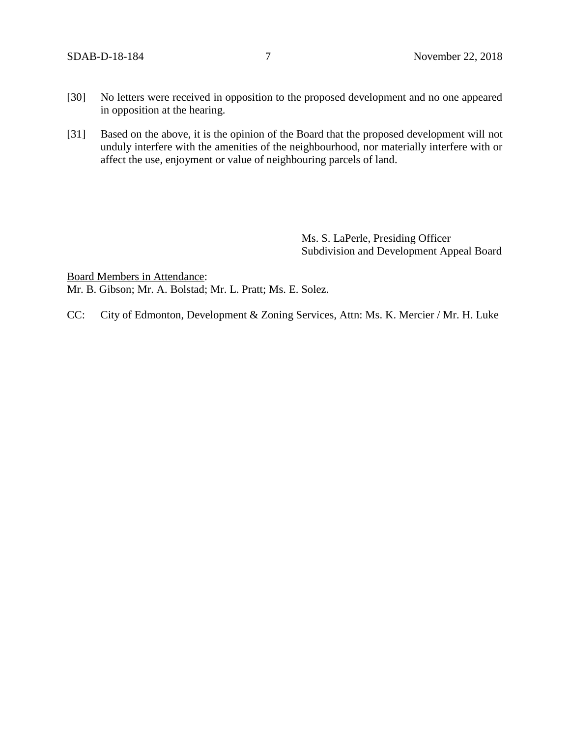- [30] No letters were received in opposition to the proposed development and no one appeared in opposition at the hearing.
- [31] Based on the above, it is the opinion of the Board that the proposed development will not unduly interfere with the amenities of the neighbourhood, nor materially interfere with or affect the use, enjoyment or value of neighbouring parcels of land.

Ms. S. LaPerle, Presiding Officer Subdivision and Development Appeal Board

Board Members in Attendance: Mr. B. Gibson; Mr. A. Bolstad; Mr. L. Pratt; Ms. E. Solez.

CC: City of Edmonton, Development & Zoning Services, Attn: Ms. K. Mercier / Mr. H. Luke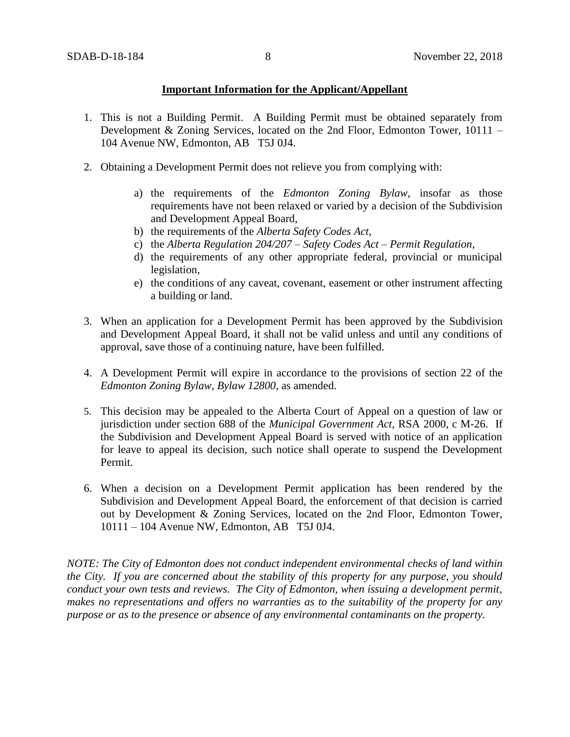# **Important Information for the Applicant/Appellant**

- 1. This is not a Building Permit. A Building Permit must be obtained separately from Development & Zoning Services, located on the 2nd Floor, Edmonton Tower, 10111 – 104 Avenue NW, Edmonton, AB T5J 0J4.
- 2. Obtaining a Development Permit does not relieve you from complying with:
	- a) the requirements of the *Edmonton Zoning Bylaw*, insofar as those requirements have not been relaxed or varied by a decision of the Subdivision and Development Appeal Board,
	- b) the requirements of the *Alberta Safety Codes Act*,
	- c) the *Alberta Regulation 204/207 – Safety Codes Act – Permit Regulation*,
	- d) the requirements of any other appropriate federal, provincial or municipal legislation,
	- e) the conditions of any caveat, covenant, easement or other instrument affecting a building or land.
- 3. When an application for a Development Permit has been approved by the Subdivision and Development Appeal Board, it shall not be valid unless and until any conditions of approval, save those of a continuing nature, have been fulfilled.
- 4. A Development Permit will expire in accordance to the provisions of section 22 of the *Edmonton Zoning Bylaw, Bylaw 12800*, as amended.
- 5. This decision may be appealed to the Alberta Court of Appeal on a question of law or jurisdiction under section 688 of the *Municipal Government Act*, RSA 2000, c M-26. If the Subdivision and Development Appeal Board is served with notice of an application for leave to appeal its decision, such notice shall operate to suspend the Development Permit.
- 6. When a decision on a Development Permit application has been rendered by the Subdivision and Development Appeal Board, the enforcement of that decision is carried out by Development & Zoning Services, located on the 2nd Floor, Edmonton Tower, 10111 – 104 Avenue NW, Edmonton, AB T5J 0J4.

*NOTE: The City of Edmonton does not conduct independent environmental checks of land within the City. If you are concerned about the stability of this property for any purpose, you should conduct your own tests and reviews. The City of Edmonton, when issuing a development permit, makes no representations and offers no warranties as to the suitability of the property for any purpose or as to the presence or absence of any environmental contaminants on the property.*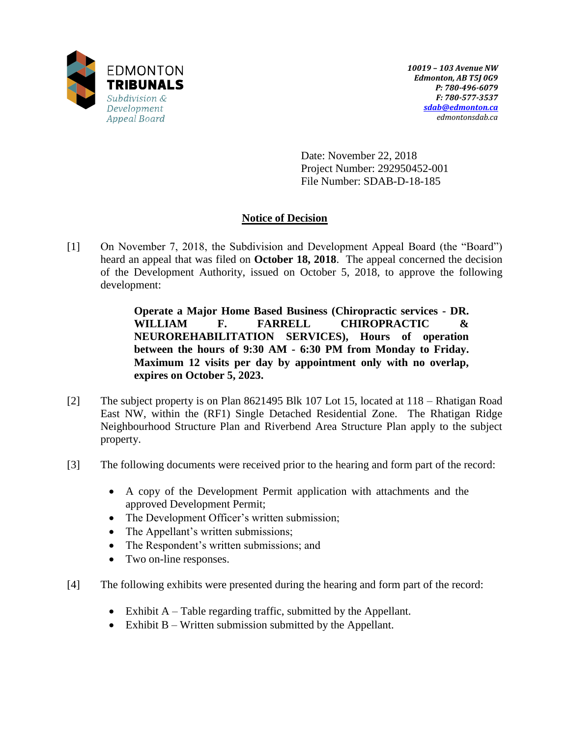

Date: November 22, 2018 Project Number: 292950452-001 File Number: SDAB-D-18-185

# **Notice of Decision**

[1] On November 7, 2018, the Subdivision and Development Appeal Board (the "Board") heard an appeal that was filed on **October 18, 2018**. The appeal concerned the decision of the Development Authority, issued on October 5, 2018, to approve the following development:

> **Operate a Major Home Based Business (Chiropractic services - DR. WILLIAM F. FARRELL CHIROPRACTIC & NEUROREHABILITATION SERVICES), Hours of operation between the hours of 9:30 AM - 6:30 PM from Monday to Friday. Maximum 12 visits per day by appointment only with no overlap, expires on October 5, 2023.**

- [2] The subject property is on Plan 8621495 Blk 107 Lot 15, located at 118 Rhatigan Road East NW, within the (RF1) Single Detached Residential Zone. The Rhatigan Ridge Neighbourhood Structure Plan and Riverbend Area Structure Plan apply to the subject property.
- [3] The following documents were received prior to the hearing and form part of the record:
	- A copy of the Development Permit application with attachments and the approved Development Permit;
	- The Development Officer's written submission;
	- The Appellant's written submissions;
	- The Respondent's written submissions; and
	- Two on-line responses.
- [4] The following exhibits were presented during the hearing and form part of the record:
	- Exhibit  $A Table$  regarding traffic, submitted by the Appellant.
	- Exhibit B Written submission submitted by the Appellant.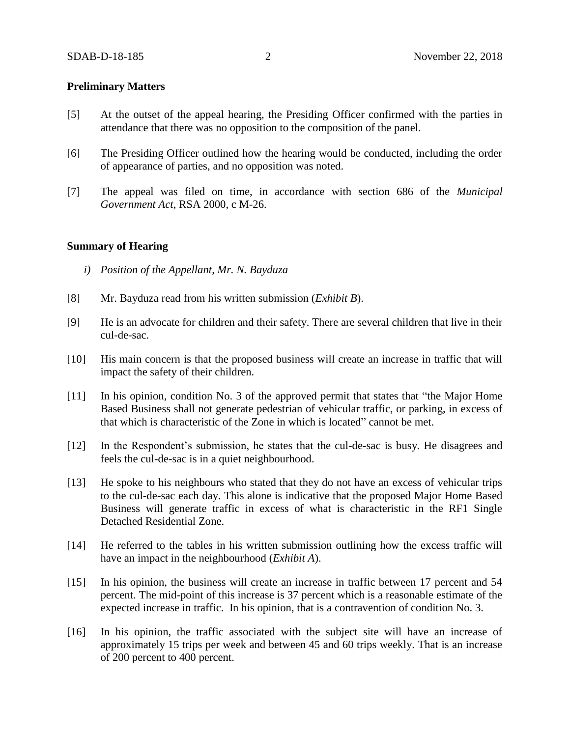## **Preliminary Matters**

- [5] At the outset of the appeal hearing, the Presiding Officer confirmed with the parties in attendance that there was no opposition to the composition of the panel.
- [6] The Presiding Officer outlined how the hearing would be conducted, including the order of appearance of parties, and no opposition was noted.
- [7] The appeal was filed on time, in accordance with section 686 of the *Municipal Government Act*, RSA 2000, c M-26.

## **Summary of Hearing**

- *i) Position of the Appellant, Mr. N. Bayduza*
- [8] Mr. Bayduza read from his written submission (*Exhibit B*).
- [9] He is an advocate for children and their safety. There are several children that live in their cul-de-sac.
- [10] His main concern is that the proposed business will create an increase in traffic that will impact the safety of their children.
- [11] In his opinion, condition No. 3 of the approved permit that states that "the Major Home Based Business shall not generate pedestrian of vehicular traffic, or parking, in excess of that which is characteristic of the Zone in which is located" cannot be met.
- [12] In the Respondent's submission, he states that the cul-de-sac is busy. He disagrees and feels the cul-de-sac is in a quiet neighbourhood.
- [13] He spoke to his neighbours who stated that they do not have an excess of vehicular trips to the cul-de-sac each day. This alone is indicative that the proposed Major Home Based Business will generate traffic in excess of what is characteristic in the RF1 Single Detached Residential Zone.
- [14] He referred to the tables in his written submission outlining how the excess traffic will have an impact in the neighbourhood (*Exhibit A*).
- [15] In his opinion, the business will create an increase in traffic between 17 percent and 54 percent. The mid-point of this increase is 37 percent which is a reasonable estimate of the expected increase in traffic. In his opinion, that is a contravention of condition No. 3.
- [16] In his opinion, the traffic associated with the subject site will have an increase of approximately 15 trips per week and between 45 and 60 trips weekly. That is an increase of 200 percent to 400 percent.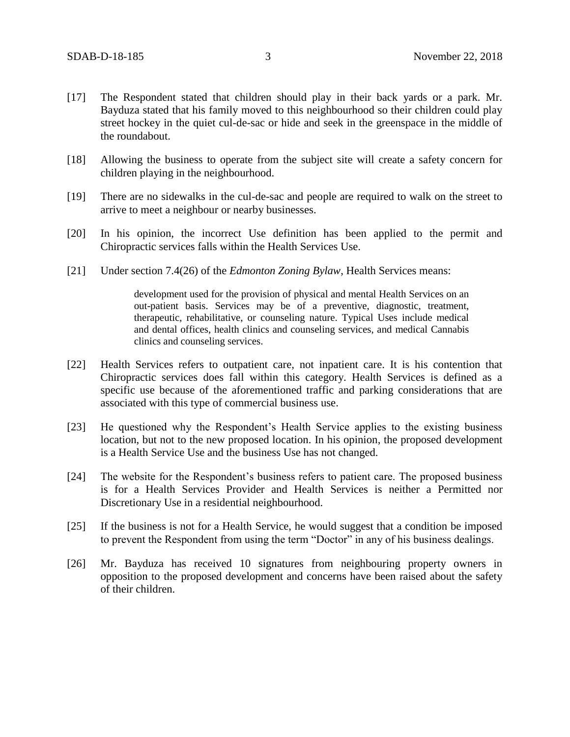- [17] The Respondent stated that children should play in their back yards or a park. Mr. Bayduza stated that his family moved to this neighbourhood so their children could play street hockey in the quiet cul-de-sac or hide and seek in the greenspace in the middle of the roundabout.
- [18] Allowing the business to operate from the subject site will create a safety concern for children playing in the neighbourhood.
- [19] There are no sidewalks in the cul-de-sac and people are required to walk on the street to arrive to meet a neighbour or nearby businesses.
- [20] In his opinion, the incorrect Use definition has been applied to the permit and Chiropractic services falls within the Health Services Use.
- [21] Under section 7.4(26) of the *Edmonton Zoning Bylaw*, Health Services means:

development used for the provision of physical and mental Health Services on an out-patient basis. Services may be of a preventive, diagnostic, treatment, therapeutic, rehabilitative, or counseling nature. Typical Uses include medical and dental offices, health clinics and counseling services, and medical Cannabis clinics and counseling services.

- [22] Health Services refers to outpatient care, not inpatient care. It is his contention that Chiropractic services does fall within this category. Health Services is defined as a specific use because of the aforementioned traffic and parking considerations that are associated with this type of commercial business use.
- [23] He questioned why the Respondent's Health Service applies to the existing business location, but not to the new proposed location. In his opinion, the proposed development is a Health Service Use and the business Use has not changed.
- [24] The website for the Respondent's business refers to patient care. The proposed business is for a Health Services Provider and Health Services is neither a Permitted nor Discretionary Use in a residential neighbourhood.
- [25] If the business is not for a Health Service, he would suggest that a condition be imposed to prevent the Respondent from using the term "Doctor" in any of his business dealings.
- [26] Mr. Bayduza has received 10 signatures from neighbouring property owners in opposition to the proposed development and concerns have been raised about the safety of their children.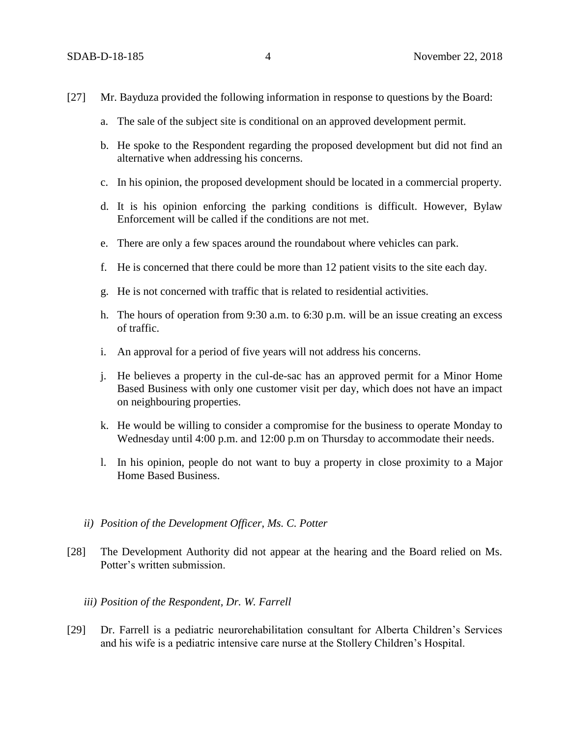- [27] Mr. Bayduza provided the following information in response to questions by the Board:
	- a. The sale of the subject site is conditional on an approved development permit.
	- b. He spoke to the Respondent regarding the proposed development but did not find an alternative when addressing his concerns.
	- c. In his opinion, the proposed development should be located in a commercial property.
	- d. It is his opinion enforcing the parking conditions is difficult. However, Bylaw Enforcement will be called if the conditions are not met.
	- e. There are only a few spaces around the roundabout where vehicles can park.
	- f. He is concerned that there could be more than 12 patient visits to the site each day.
	- g. He is not concerned with traffic that is related to residential activities.
	- h. The hours of operation from 9:30 a.m. to 6:30 p.m. will be an issue creating an excess of traffic.
	- i. An approval for a period of five years will not address his concerns.
	- j. He believes a property in the cul-de-sac has an approved permit for a Minor Home Based Business with only one customer visit per day, which does not have an impact on neighbouring properties.
	- k. He would be willing to consider a compromise for the business to operate Monday to Wednesday until 4:00 p.m. and 12:00 p.m on Thursday to accommodate their needs.
	- l. In his opinion, people do not want to buy a property in close proximity to a Major Home Based Business.
	- *ii) Position of the Development Officer, Ms. C. Potter*
- [28] The Development Authority did not appear at the hearing and the Board relied on Ms. Potter's written submission.
	- *iii) Position of the Respondent, Dr. W. Farrell*
- [29] Dr. Farrell is a pediatric neurorehabilitation consultant for Alberta Children's Services and his wife is a pediatric intensive care nurse at the Stollery Children's Hospital.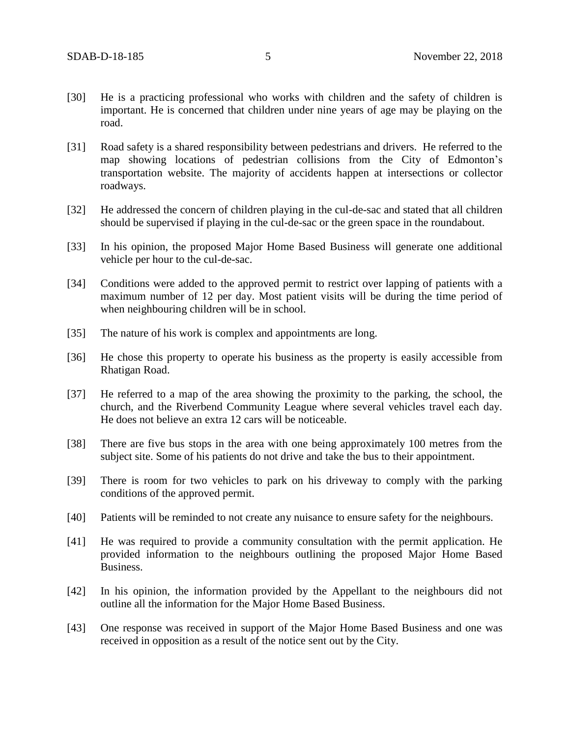- [30] He is a practicing professional who works with children and the safety of children is important. He is concerned that children under nine years of age may be playing on the road.
- [31] Road safety is a shared responsibility between pedestrians and drivers. He referred to the map showing locations of pedestrian collisions from the City of Edmonton's transportation website. The majority of accidents happen at intersections or collector roadways.
- [32] He addressed the concern of children playing in the cul-de-sac and stated that all children should be supervised if playing in the cul-de-sac or the green space in the roundabout.
- [33] In his opinion, the proposed Major Home Based Business will generate one additional vehicle per hour to the cul-de-sac.
- [34] Conditions were added to the approved permit to restrict over lapping of patients with a maximum number of 12 per day. Most patient visits will be during the time period of when neighbouring children will be in school.
- [35] The nature of his work is complex and appointments are long.
- [36] He chose this property to operate his business as the property is easily accessible from Rhatigan Road.
- [37] He referred to a map of the area showing the proximity to the parking, the school, the church, and the Riverbend Community League where several vehicles travel each day. He does not believe an extra 12 cars will be noticeable.
- [38] There are five bus stops in the area with one being approximately 100 metres from the subject site. Some of his patients do not drive and take the bus to their appointment.
- [39] There is room for two vehicles to park on his driveway to comply with the parking conditions of the approved permit.
- [40] Patients will be reminded to not create any nuisance to ensure safety for the neighbours.
- [41] He was required to provide a community consultation with the permit application. He provided information to the neighbours outlining the proposed Major Home Based Business.
- [42] In his opinion, the information provided by the Appellant to the neighbours did not outline all the information for the Major Home Based Business.
- [43] One response was received in support of the Major Home Based Business and one was received in opposition as a result of the notice sent out by the City.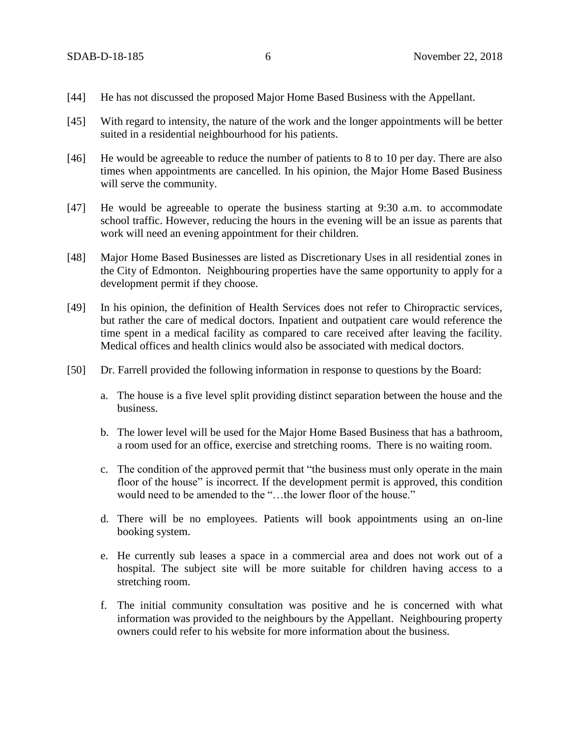- [44] He has not discussed the proposed Major Home Based Business with the Appellant.
- [45] With regard to intensity, the nature of the work and the longer appointments will be better suited in a residential neighbourhood for his patients.
- [46] He would be agreeable to reduce the number of patients to 8 to 10 per day. There are also times when appointments are cancelled. In his opinion, the Major Home Based Business will serve the community.
- [47] He would be agreeable to operate the business starting at 9:30 a.m. to accommodate school traffic. However, reducing the hours in the evening will be an issue as parents that work will need an evening appointment for their children.
- [48] Major Home Based Businesses are listed as Discretionary Uses in all residential zones in the City of Edmonton. Neighbouring properties have the same opportunity to apply for a development permit if they choose.
- [49] In his opinion, the definition of Health Services does not refer to Chiropractic services, but rather the care of medical doctors. Inpatient and outpatient care would reference the time spent in a medical facility as compared to care received after leaving the facility. Medical offices and health clinics would also be associated with medical doctors.
- [50] Dr. Farrell provided the following information in response to questions by the Board:
	- a. The house is a five level split providing distinct separation between the house and the business.
	- b. The lower level will be used for the Major Home Based Business that has a bathroom, a room used for an office, exercise and stretching rooms. There is no waiting room.
	- c. The condition of the approved permit that "the business must only operate in the main floor of the house" is incorrect. If the development permit is approved, this condition would need to be amended to the "…the lower floor of the house."
	- d. There will be no employees. Patients will book appointments using an on-line booking system.
	- e. He currently sub leases a space in a commercial area and does not work out of a hospital. The subject site will be more suitable for children having access to a stretching room.
	- f. The initial community consultation was positive and he is concerned with what information was provided to the neighbours by the Appellant. Neighbouring property owners could refer to his website for more information about the business.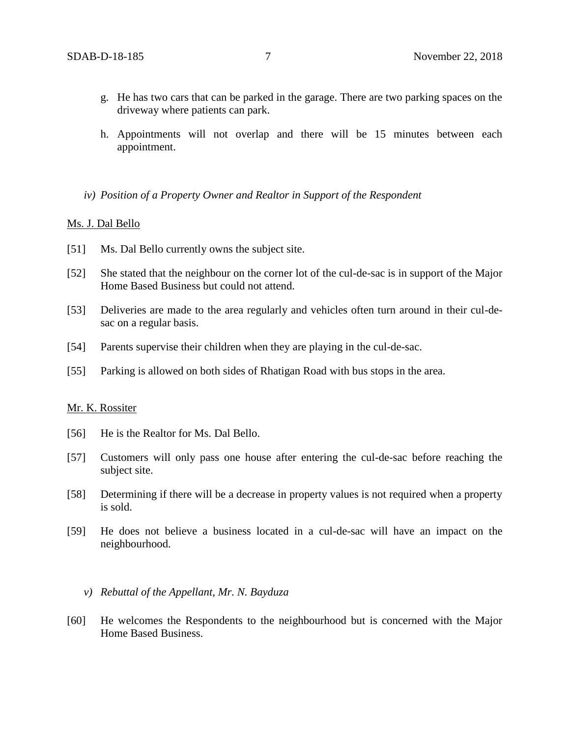- g. He has two cars that can be parked in the garage. There are two parking spaces on the driveway where patients can park.
- h. Appointments will not overlap and there will be 15 minutes between each appointment.
- *iv) Position of a Property Owner and Realtor in Support of the Respondent*

#### Ms. J. Dal Bello

- [51] Ms. Dal Bello currently owns the subject site.
- [52] She stated that the neighbour on the corner lot of the cul-de-sac is in support of the Major Home Based Business but could not attend.
- [53] Deliveries are made to the area regularly and vehicles often turn around in their cul-desac on a regular basis.
- [54] Parents supervise their children when they are playing in the cul-de-sac.
- [55] Parking is allowed on both sides of Rhatigan Road with bus stops in the area.

#### Mr. K. Rossiter

- [56] He is the Realtor for Ms. Dal Bello.
- [57] Customers will only pass one house after entering the cul-de-sac before reaching the subject site.
- [58] Determining if there will be a decrease in property values is not required when a property is sold.
- [59] He does not believe a business located in a cul-de-sac will have an impact on the neighbourhood.
	- *v) Rebuttal of the Appellant, Mr. N. Bayduza*
- [60] He welcomes the Respondents to the neighbourhood but is concerned with the Major Home Based Business.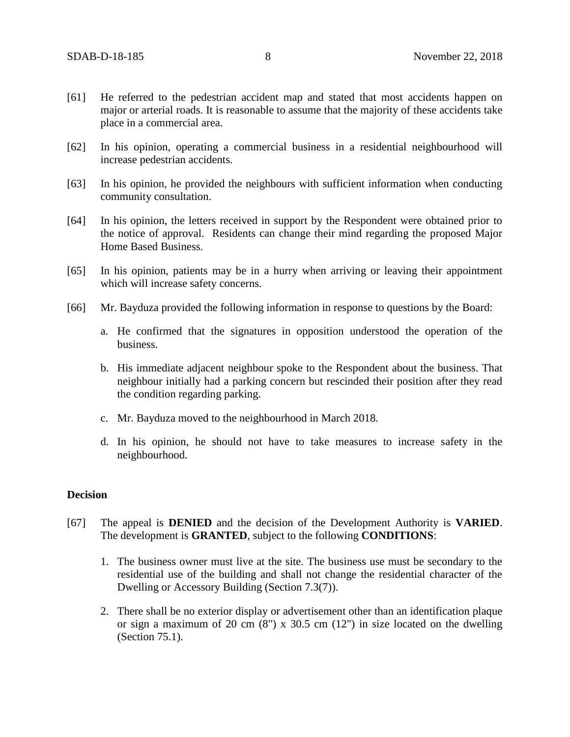- [61] He referred to the pedestrian accident map and stated that most accidents happen on major or arterial roads. It is reasonable to assume that the majority of these accidents take place in a commercial area.
- [62] In his opinion, operating a commercial business in a residential neighbourhood will increase pedestrian accidents.
- [63] In his opinion, he provided the neighbours with sufficient information when conducting community consultation.
- [64] In his opinion, the letters received in support by the Respondent were obtained prior to the notice of approval. Residents can change their mind regarding the proposed Major Home Based Business.
- [65] In his opinion, patients may be in a hurry when arriving or leaving their appointment which will increase safety concerns.
- [66] Mr. Bayduza provided the following information in response to questions by the Board:
	- a. He confirmed that the signatures in opposition understood the operation of the business.
	- b. His immediate adjacent neighbour spoke to the Respondent about the business. That neighbour initially had a parking concern but rescinded their position after they read the condition regarding parking.
	- c. Mr. Bayduza moved to the neighbourhood in March 2018.
	- d. In his opinion, he should not have to take measures to increase safety in the neighbourhood.

## **Decision**

- [67] The appeal is **DENIED** and the decision of the Development Authority is **VARIED**. The development is **GRANTED**, subject to the following **CONDITIONS**:
	- 1. The business owner must live at the site. The business use must be secondary to the residential use of the building and shall not change the residential character of the Dwelling or Accessory Building (Section 7.3(7)).
	- 2. There shall be no exterior display or advertisement other than an identification plaque or sign a maximum of 20 cm  $(8)$  x 30.5 cm  $(12)$  in size located on the dwelling (Section 75.1).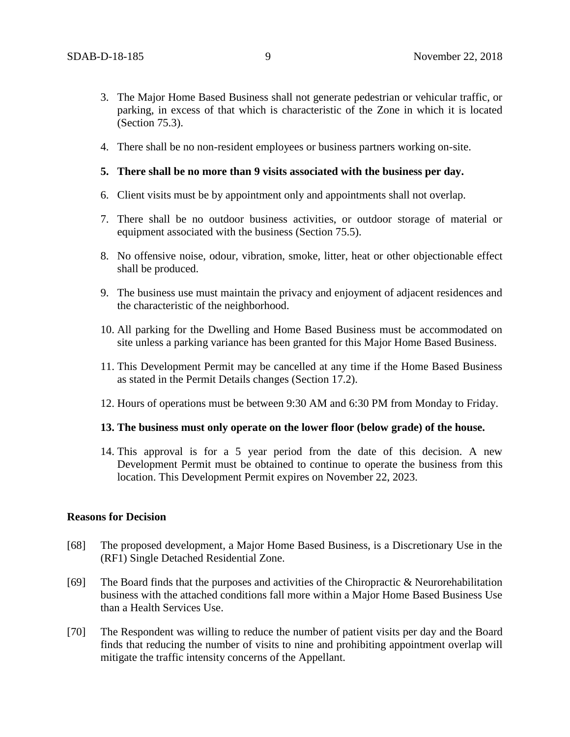- 3. The Major Home Based Business shall not generate pedestrian or vehicular traffic, or parking, in excess of that which is characteristic of the Zone in which it is located (Section 75.3).
- 4. There shall be no non-resident employees or business partners working on-site.
- **5. There shall be no more than 9 visits associated with the business per day.**
- 6. Client visits must be by appointment only and appointments shall not overlap.
- 7. There shall be no outdoor business activities, or outdoor storage of material or equipment associated with the business (Section 75.5).
- 8. No offensive noise, odour, vibration, smoke, litter, heat or other objectionable effect shall be produced.
- 9. The business use must maintain the privacy and enjoyment of adjacent residences and the characteristic of the neighborhood.
- 10. All parking for the Dwelling and Home Based Business must be accommodated on site unless a parking variance has been granted for this Major Home Based Business.
- 11. This Development Permit may be cancelled at any time if the Home Based Business as stated in the Permit Details changes (Section 17.2).
- 12. Hours of operations must be between 9:30 AM and 6:30 PM from Monday to Friday.

## **13. The business must only operate on the lower floor (below grade) of the house.**

14. This approval is for a 5 year period from the date of this decision. A new Development Permit must be obtained to continue to operate the business from this location. This Development Permit expires on November 22, 2023.

## **Reasons for Decision**

- [68] The proposed development, a Major Home Based Business, is a Discretionary Use in the (RF1) Single Detached Residential Zone.
- [69] The Board finds that the purposes and activities of the Chiropractic  $\&$  Neurorehabilitation business with the attached conditions fall more within a Major Home Based Business Use than a Health Services Use.
- [70] The Respondent was willing to reduce the number of patient visits per day and the Board finds that reducing the number of visits to nine and prohibiting appointment overlap will mitigate the traffic intensity concerns of the Appellant.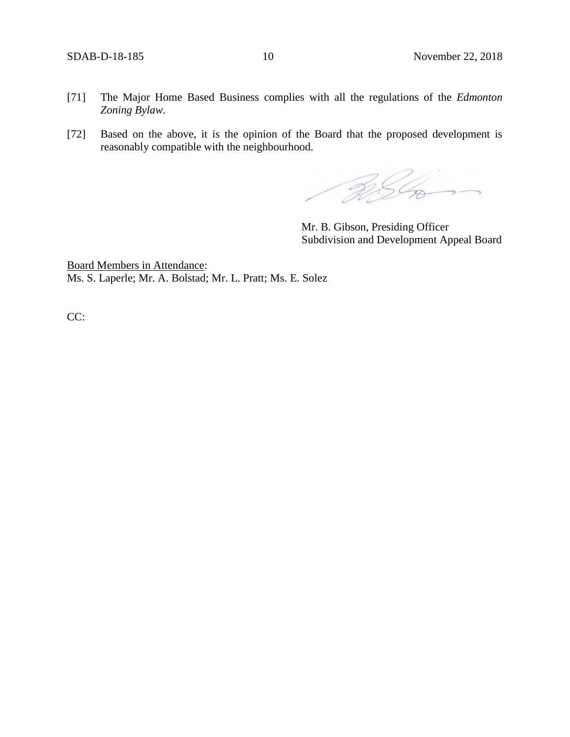- [71] The Major Home Based Business complies with all the regulations of the *Edmonton Zoning Bylaw.*
- [72] Based on the above, it is the opinion of the Board that the proposed development is reasonably compatible with the neighbourhood.

RSL

Mr. B. Gibson, Presiding Officer Subdivision and Development Appeal Board

Board Members in Attendance: Ms. S. Laperle; Mr. A. Bolstad; Mr. L. Pratt; Ms. E. Solez

CC: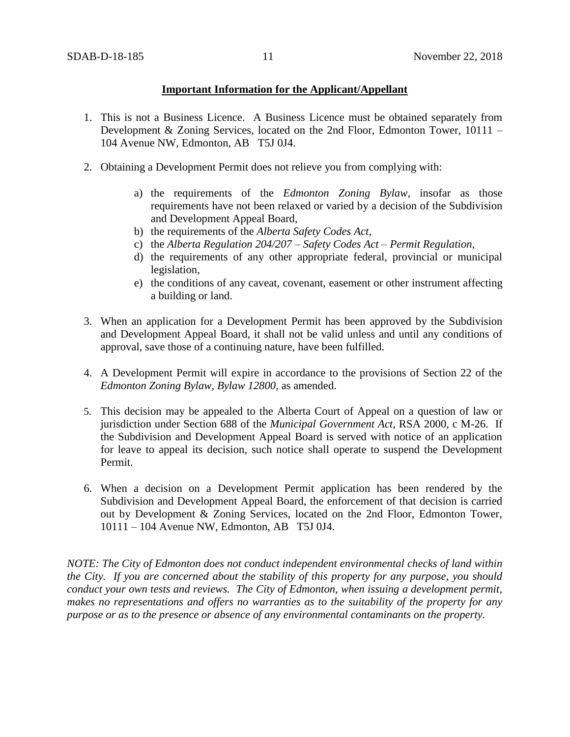# **Important Information for the Applicant/Appellant**

- 1. This is not a Business Licence. A Business Licence must be obtained separately from Development & Zoning Services, located on the 2nd Floor, Edmonton Tower, 10111 – 104 Avenue NW, Edmonton, AB T5J 0J4.
- 2. Obtaining a Development Permit does not relieve you from complying with:
	- a) the requirements of the *Edmonton Zoning Bylaw*, insofar as those requirements have not been relaxed or varied by a decision of the Subdivision and Development Appeal Board,
	- b) the requirements of the *Alberta Safety Codes Act*,
	- c) the *Alberta Regulation 204/207 – Safety Codes Act – Permit Regulation*,
	- d) the requirements of any other appropriate federal, provincial or municipal legislation,
	- e) the conditions of any caveat, covenant, easement or other instrument affecting a building or land.
- 3. When an application for a Development Permit has been approved by the Subdivision and Development Appeal Board, it shall not be valid unless and until any conditions of approval, save those of a continuing nature, have been fulfilled.
- 4. A Development Permit will expire in accordance to the provisions of Section 22 of the *Edmonton Zoning Bylaw, Bylaw 12800*, as amended.
- 5. This decision may be appealed to the Alberta Court of Appeal on a question of law or jurisdiction under Section 688 of the *Municipal Government Act*, RSA 2000, c M-26. If the Subdivision and Development Appeal Board is served with notice of an application for leave to appeal its decision, such notice shall operate to suspend the Development Permit.
- 6. When a decision on a Development Permit application has been rendered by the Subdivision and Development Appeal Board, the enforcement of that decision is carried out by Development & Zoning Services, located on the 2nd Floor, Edmonton Tower, 10111 – 104 Avenue NW, Edmonton, AB T5J 0J4.

*NOTE: The City of Edmonton does not conduct independent environmental checks of land within the City. If you are concerned about the stability of this property for any purpose, you should conduct your own tests and reviews. The City of Edmonton, when issuing a development permit, makes no representations and offers no warranties as to the suitability of the property for any purpose or as to the presence or absence of any environmental contaminants on the property.*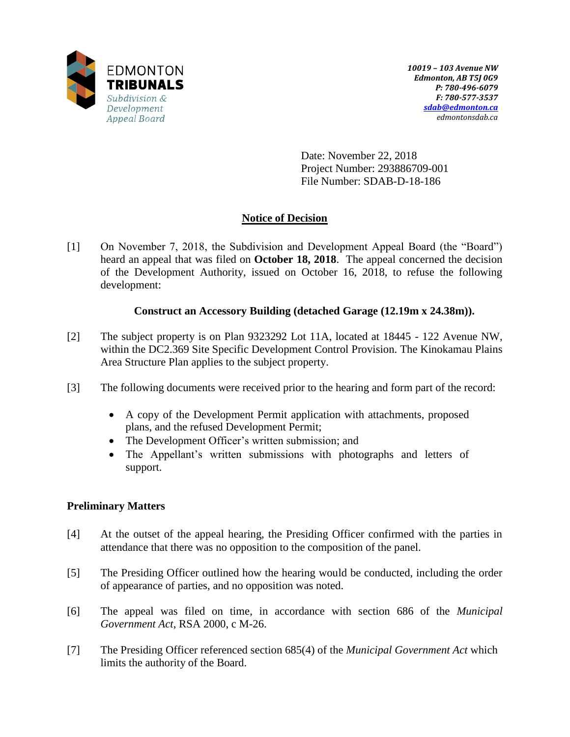

Date: November 22, 2018 Project Number: 293886709-001 File Number: SDAB-D-18-186

# **Notice of Decision**

[1] On November 7, 2018, the Subdivision and Development Appeal Board (the "Board") heard an appeal that was filed on **October 18, 2018**. The appeal concerned the decision of the Development Authority, issued on October 16, 2018, to refuse the following development:

# **Construct an Accessory Building (detached Garage (12.19m x 24.38m)).**

- [2] The subject property is on Plan 9323292 Lot 11A, located at 18445 122 Avenue NW, within the DC2.369 Site Specific Development Control Provision. The Kinokamau Plains Area Structure Plan applies to the subject property.
- [3] The following documents were received prior to the hearing and form part of the record:
	- A copy of the Development Permit application with attachments, proposed plans, and the refused Development Permit;
	- The Development Officer's written submission; and
	- The Appellant's written submissions with photographs and letters of support.

# **Preliminary Matters**

- [4] At the outset of the appeal hearing, the Presiding Officer confirmed with the parties in attendance that there was no opposition to the composition of the panel.
- [5] The Presiding Officer outlined how the hearing would be conducted, including the order of appearance of parties, and no opposition was noted.
- [6] The appeal was filed on time, in accordance with section 686 of the *Municipal Government Act*, RSA 2000, c M-26.
- [7] The Presiding Officer referenced section 685(4) of the *Municipal Government Act* which limits the authority of the Board.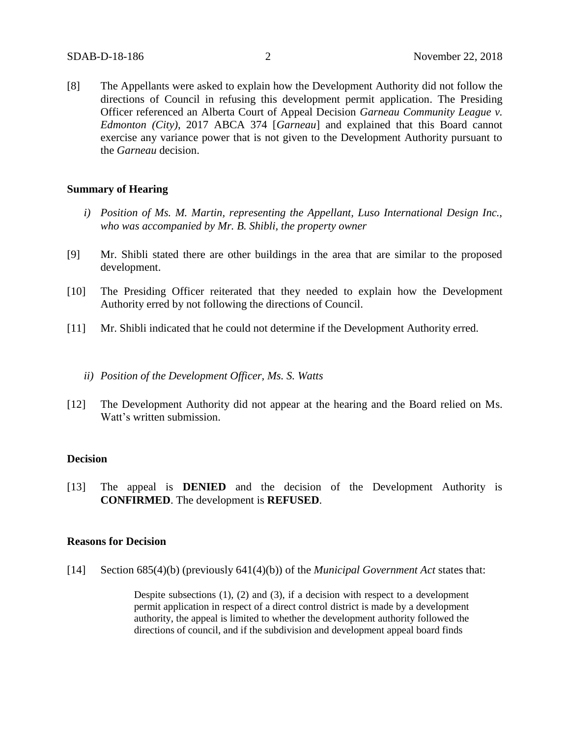[8] The Appellants were asked to explain how the Development Authority did not follow the directions of Council in refusing this development permit application. The Presiding Officer referenced an Alberta Court of Appeal Decision *Garneau Community League v. Edmonton (City)*, 2017 ABCA 374 [*Garneau*] and explained that this Board cannot exercise any variance power that is not given to the Development Authority pursuant to the *Garneau* decision.

#### **Summary of Hearing**

- *i) Position of Ms. M. Martin, representing the Appellant, Luso International Design Inc., who was accompanied by Mr. B. Shibli, the property owner*
- [9] Mr. Shibli stated there are other buildings in the area that are similar to the proposed development.
- [10] The Presiding Officer reiterated that they needed to explain how the Development Authority erred by not following the directions of Council.
- [11] Mr. Shibli indicated that he could not determine if the Development Authority erred.
	- *ii) Position of the Development Officer, Ms. S. Watts*
- [12] The Development Authority did not appear at the hearing and the Board relied on Ms. Watt's written submission.

#### **Decision**

[13] The appeal is **DENIED** and the decision of the Development Authority is **CONFIRMED**. The development is **REFUSED**.

#### **Reasons for Decision**

[14] Section 685(4)(b) (previously 641(4)(b)) of the *Municipal Government Act* states that:

Despite subsections (1), (2) and (3), if a decision with respect to a development permit application in respect of a direct control district is made by a development authority, the appeal is limited to whether the development authority followed the directions of council, and if the subdivision and development appeal board finds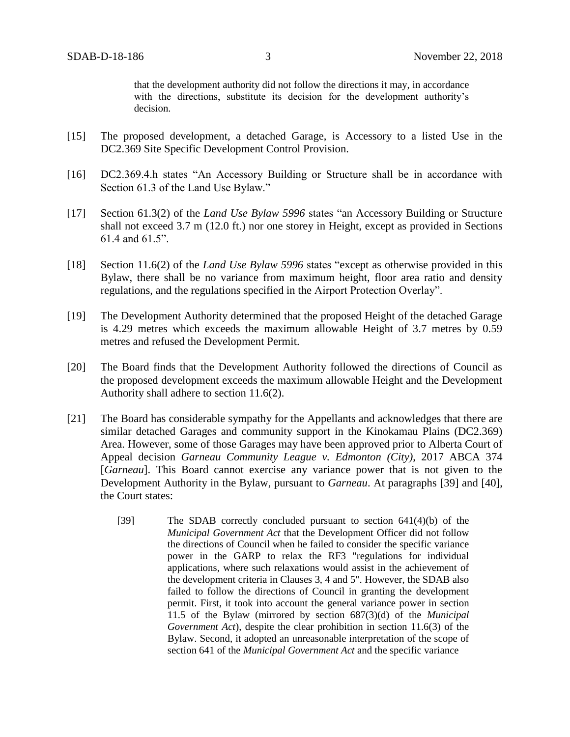that the development authority did not follow the directions it may, in accordance with the directions, substitute its decision for the development authority's decision.

- [15] The proposed development, a detached Garage, is Accessory to a listed Use in the DC2.369 Site Specific Development Control Provision.
- [16] DC2.369.4.h states "An Accessory Building or Structure shall be in accordance with Section 61.3 of the Land Use Bylaw."
- [17] Section 61.3(2) of the *Land Use Bylaw 5996* states "an Accessory Building or Structure shall not exceed 3.7 m (12.0 ft.) nor one storey in Height, except as provided in Sections 61.4 and 61.5".
- [18] Section 11.6(2) of the *Land Use Bylaw 5996* states "except as otherwise provided in this Bylaw, there shall be no variance from maximum height, floor area ratio and density regulations, and the regulations specified in the Airport Protection Overlay".
- [19] The Development Authority determined that the proposed Height of the detached Garage is 4.29 metres which exceeds the maximum allowable Height of 3.7 metres by 0.59 metres and refused the Development Permit.
- [20] The Board finds that the Development Authority followed the directions of Council as the proposed development exceeds the maximum allowable Height and the Development Authority shall adhere to section 11.6(2).
- [21] The Board has considerable sympathy for the Appellants and acknowledges that there are similar detached Garages and community support in the Kinokamau Plains (DC2.369) Area. However, some of those Garages may have been approved prior to Alberta Court of Appeal decision *Garneau Community League v. Edmonton (City)*, 2017 ABCA 374 [*Garneau*]. This Board cannot exercise any variance power that is not given to the Development Authority in the Bylaw, pursuant to *Garneau*. At paragraphs [39] and [40], the Court states:
	- [39] The SDAB correctly concluded pursuant to section 641(4)(b) of the *Municipal Government Act* that the Development Officer did not follow the directions of Council when he failed to consider the specific variance power in the GARP to relax the RF3 "regulations for individual applications, where such relaxations would assist in the achievement of the development criteria in Clauses 3, 4 and 5". However, the SDAB also failed to follow the directions of Council in granting the development permit. First, it took into account the general variance power in section 11.5 of the Bylaw (mirrored by section 687(3)(d) of the *Municipal Government Act*), despite the clear prohibition in section 11.6(3) of the Bylaw. Second, it adopted an unreasonable interpretation of the scope of section 641 of the *Municipal Government Act* and the specific variance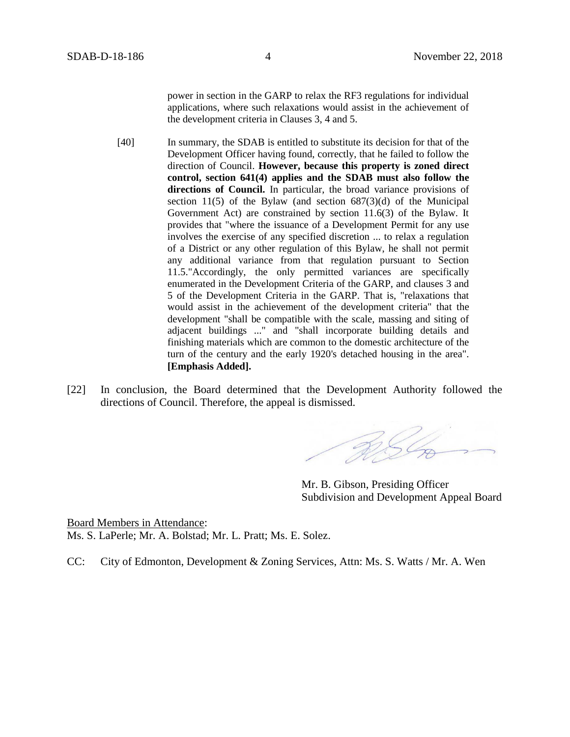power in section in the GARP to relax the RF3 regulations for individual applications, where such relaxations would assist in the achievement of the development criteria in Clauses 3, 4 and 5.

[40] In summary, the SDAB is entitled to substitute its decision for that of the Development Officer having found, correctly, that he failed to follow the direction of Council. **However, because this property is zoned direct control, section 641(4) applies and the SDAB must also follow the directions of Council.** In particular, the broad variance provisions of section 11(5) of the Bylaw (and section  $687(3)(d)$  of the Municipal Government Act) are constrained by section 11.6(3) of the Bylaw. It provides that "where the issuance of a Development Permit for any use involves the exercise of any specified discretion ... to relax a regulation of a District or any other regulation of this Bylaw, he shall not permit any additional variance from that regulation pursuant to Section 11.5."Accordingly, the only permitted variances are specifically enumerated in the Development Criteria of the GARP, and clauses 3 and 5 of the Development Criteria in the GARP. That is, "relaxations that would assist in the achievement of the development criteria" that the development "shall be compatible with the scale, massing and siting of adjacent buildings ..." and "shall incorporate building details and finishing materials which are common to the domestic architecture of the turn of the century and the early 1920's detached housing in the area". **[Emphasis Added].**

[22] In conclusion, the Board determined that the Development Authority followed the directions of Council. Therefore, the appeal is dismissed.

RSL

Mr. B. Gibson, Presiding Officer Subdivision and Development Appeal Board

Board Members in Attendance: Ms. S. LaPerle; Mr. A. Bolstad; Mr. L. Pratt; Ms. E. Solez.

CC: City of Edmonton, Development & Zoning Services, Attn: Ms. S. Watts / Mr. A. Wen